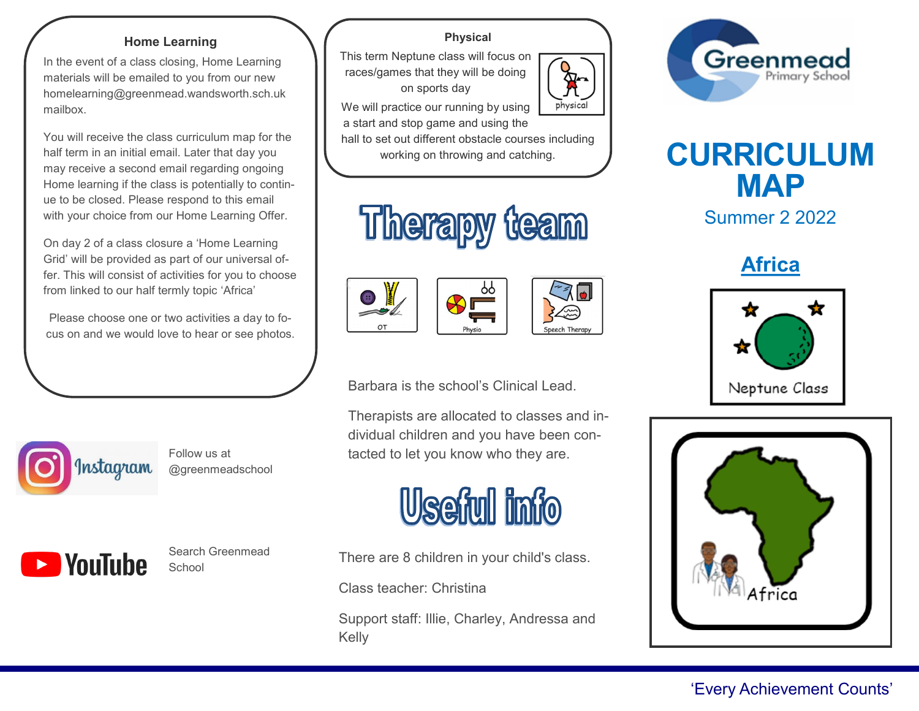### **Home Learning**

In the event of a class closing, Home Learning materials will be emailed to you from our new homelearning@greenmead.wandsworth.sch.uk mailbox.

You will receive the class curriculum map for the half term in an initial email. Later that day you may receive a second email regarding ongoing Home learning if the class is potentially to continue to be closed. Please respond to this email with your choice from our Home Learning Offer.

On day 2 of a class closure a 'Home Learning Grid' will be provided as part of our universal offer. This will consist of activities for you to choose from linked to our half termly topic 'Africa'

Please choose one or two activities a day to focus on and we would love to hear or see photos.



Follow us at @greenmeadschool



Ī

Search Greenmead School

## **Physical**

This term Neptune class will focus on races/games that they will be doing on sports day



We will practice our running by using a start and stop game and using the

hall to set out different obstacle courses including







Barbara is the school's Clinical Lead.

Therapists are allocated to classes and individual children and you have been contacted to let you know who they are.



There are 8 children in your child's class.

Class teacher: Christina

Support staff: Illie, Charley, Andressa and Kelly



# working on throwing and catching. **CURRICULUM MAP**

Summer 2 2022

**Africa**